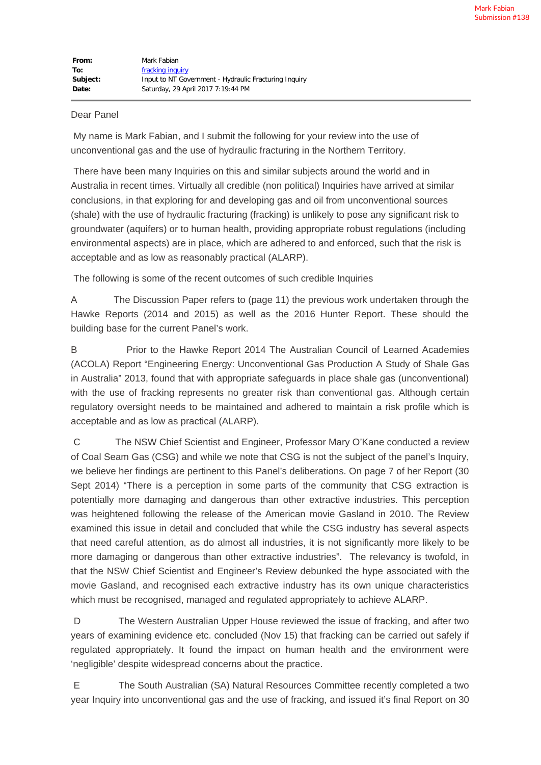## Dear Panel

My name is Mark Fabian, and I submit the following for your review into the use of unconventional gas and the use of hydraulic fracturing in the Northern Territory.

There have been many Inquiries on this and similar subjects around the world and in Australia in recent times. Virtually all credible (non political) Inquiries have arrived at similar conclusions, in that exploring for and developing gas and oil from unconventional sources (shale) with the use of hydraulic fracturing (fracking) is unlikely to pose any significant risk to groundwater (aquifers) or to human health, providing appropriate robust regulations (including environmental aspects) are in place, which are adhered to and enforced, such that the risk is acceptable and as low as reasonably practical (ALARP).

The following is some of the recent outcomes of such credible Inquiries

A The Discussion Paper refers to (page 11) the previous work undertaken through the Hawke Reports (2014 and 2015) as well as the 2016 Hunter Report. These should the building base for the current Panel's work.

B Prior to the Hawke Report 2014 The Australian Council of Learned Academies (ACOLA) Report "Engineering Energy: Unconventional Gas Production A Study of Shale Gas in Australia" 2013, found that with appropriate safeguards in place shale gas (unconventional) with the use of fracking represents no greater risk than conventional gas. Although certain regulatory oversight needs to be maintained and adhered to maintain a risk profile which is acceptable and as low as practical (ALARP).

C The NSW Chief Scientist and Engineer, Professor Mary O'Kane conducted a review of Coal Seam Gas (CSG) and while we note that CSG is not the subject of the panel's Inquiry, we believe her findings are pertinent to this Panel's deliberations. On page 7 of her Report (30 Sept 2014) "There is a perception in some parts of the community that CSG extraction is potentially more damaging and dangerous than other extractive industries. This perception was heightened following the release of the American movie Gasland in 2010. The Review examined this issue in detail and concluded that while the CSG industry has several aspects that need careful attention, as do almost all industries, it is not significantly more likely to be more damaging or dangerous than other extractive industries". The relevancy is twofold, in that the NSW Chief Scientist and Engineer's Review debunked the hype associated with the movie Gasland, and recognised each extractive industry has its own unique characteristics which must be recognised, managed and regulated appropriately to achieve ALARP.

D The Western Australian Upper House reviewed the issue of fracking, and after two years of examining evidence etc. concluded (Nov 15) that fracking can be carried out safely if regulated appropriately. It found the impact on human health and the environment were 'negligible' despite widespread concerns about the practice.

E The South Australian (SA) Natural Resources Committee recently completed a two year Inquiry into unconventional gas and the use of fracking, and issued it's final Report on 30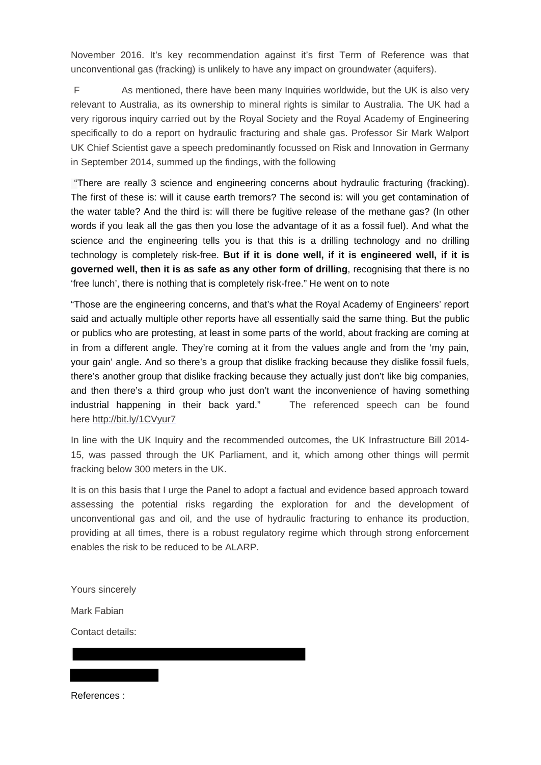November 2016. It's key recommendation against it's first Term of Reference was that unconventional gas (fracking) is unlikely to have any impact on groundwater (aquifers).

F As mentioned, there have been many Inquiries worldwide, but the UK is also very relevant to Australia, as its ownership to mineral rights is similar to Australia. The UK had a very rigorous inquiry carried out by the Royal Society and the Royal Academy of Engineering specifically to do a report on hydraulic fracturing and shale gas. Professor Sir Mark Walport UK Chief Scientist gave a speech predominantly focussed on Risk and Innovation in Germany in September 2014, summed up the findings, with the following

"There are really 3 science and engineering concerns about hydraulic fracturing (fracking). The first of these is: will it cause earth tremors? The second is: will you get contamination of the water table? And the third is: will there be fugitive release of the methane gas? (In other words if you leak all the gas then you lose the advantage of it as a fossil fuel). And what the science and the engineering tells you is that this is a drilling technology and no drilling technology is completely risk-free. **But if it is done well, if it is engineered well, if it is governed well, then it is as safe as any other form of drilling**, recognising that there is no 'free lunch', there is nothing that is completely risk-free." He went on to note

"Those are the engineering concerns, and that's what the Royal Academy of Engineers' report said and actually multiple other reports have all essentially said the same thing. But the public or publics who are protesting, at least in some parts of the world, about fracking are coming at in from a different angle. They're coming at it from the values angle and from the 'my pain, your gain' angle. And so there's a group that dislike fracking because they dislike fossil fuels, there's another group that dislike fracking because they actually just don't like big companies, and then there's a third group who just don't want the inconvenience of having something industrial happening in their back yard." The referenced speech can be found here [http://bit.ly/1CVyur7](http://pesa.us9.list-manage2.com/track/click?u=6ccd42798cb22f546274936b3&id=158a364db0&e=69aee506e9)

In line with the UK Inquiry and the recommended outcomes, the UK Infrastructure Bill 2014- 15, was passed through the UK Parliament, and it, which among other things will permit fracking below 300 meters in the UK.

It is on this basis that I urge the Panel to adopt a factual and evidence based approach toward assessing the potential risks regarding the exploration for and the development of unconventional gas and oil, and the use of hydraulic fracturing to enhance its production, providing at all times, there is a robust regulatory regime which through strong enforcement enables the risk to be reduced to be ALARP.

Yours sincerely

Mark Fabian

Contact details:

References :